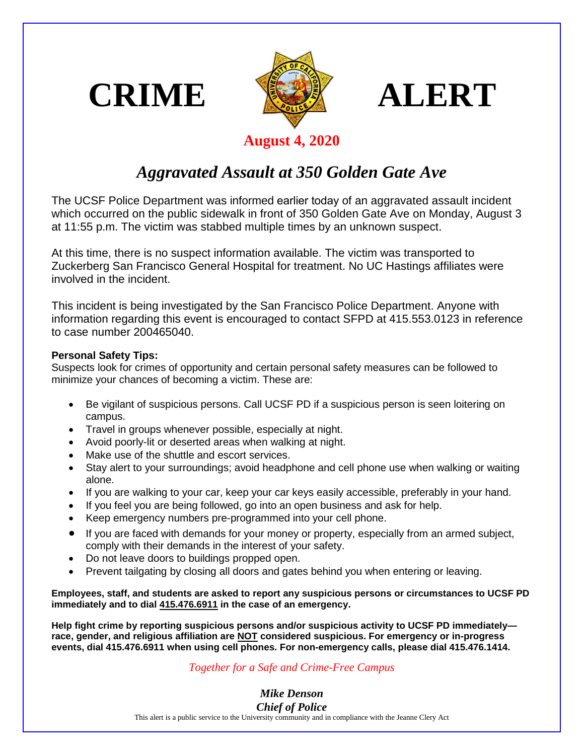





## **August 4, 2020**

## *Aggravated Assault at 350 Golden Gate Ave*

The UCSF Police Department was informed earlier today of an aggravated assault incident which occurred on the public sidewalk in front of 350 Golden Gate Ave on Monday, August 3 at 11:55 p.m. The victim was stabbed multiple times by an unknown suspect.

At this time, there is no suspect information available. The victim was transported to Zuckerberg San Francisco General Hospital for treatment. No UC Hastings affiliates were involved in the incident.

This incident is being investigated by the San Francisco Police Department. Anyone with information regarding this event is encouraged to contact SFPD at 415.553.0123 in reference to case number 200465040.

## **Personal Safety Tips:**

Suspects look for crimes of opportunity and certain personal safety measures can be followed to minimize your chances of becoming a victim. These are:

- Be vigilant of suspicious persons. Call UCSF PD if a suspicious person is seen loitering on campus.
- Travel in groups whenever possible, especially at night.
- Avoid poorly-lit or deserted areas when walking at night.
- Make use of the shuttle and escort services.
- Stay alert to your surroundings; avoid headphone and cell phone use when walking or waiting alone.
- If you are walking to your car, keep your car keys easily accessible, preferably in your hand.
- If you feel you are being followed, go into an open business and ask for help.
- Keep emergency numbers pre-programmed into your cell phone.
- If you are faced with demands for your money or property, especially from an armed subject, comply with their demands in the interest of your safety.
- Do not leave doors to buildings propped open.
- Prevent tailgating by closing all doors and gates behind you when entering or leaving.

**Employees, staff, and students are asked to report any suspicious persons or circumstances to UCSF PD immediately and to dial 415.476.6911 in the case of an emergency.** 

**Help fight crime by reporting suspicious persons and/or suspicious activity to UCSF PD immediately race, gender, and religious affiliation are NOT considered suspicious. For emergency or in-progress events, dial 415.476.6911 when using cell phones. For non-emergency calls, please dial 415.476.1414.**

## *Together for a Safe and Crime-Free Campus*

*Mike Denson Chief of Police*

This alert is a public service to the University community and in compliance with the Jeanne Clery Act